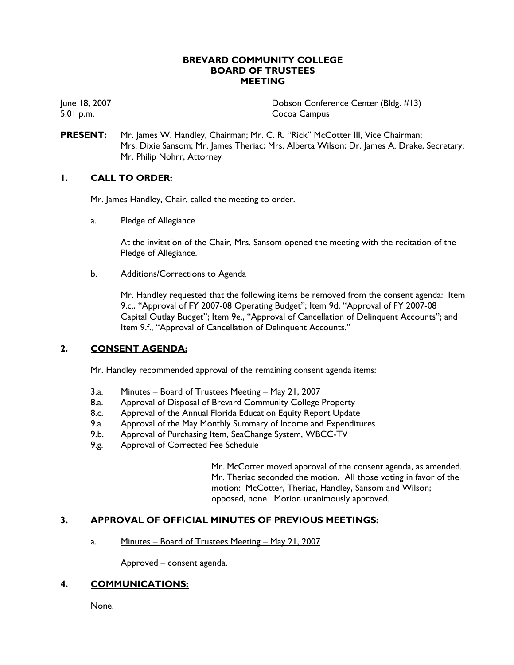## **BREVARD COMMUNITY COLLEGE BOARD OF TRUSTEES MEETING**

June 18, 2007 Dobson Conference Center (Bldg. #13) 5:01 p.m. Cocoa Campus

**PRESENT:** Mr. James W. Handley, Chairman; Mr. C. R. "Rick" McCotter III, Vice Chairman; Mrs. Dixie Sansom; Mr. James Theriac; Mrs. Alberta Wilson; Dr. James A. Drake, Secretary; Mr. Philip Nohrr, Attorney

# **1. CALL TO ORDER:**

Mr. James Handley, Chair, called the meeting to order.

a. Pledge of Allegiance

At the invitation of the Chair, Mrs. Sansom opened the meeting with the recitation of the Pledge of Allegiance.

b. Additions/Corrections to Agenda

Mr. Handley requested that the following items be removed from the consent agenda: Item 9.c., "Approval of FY 2007-08 Operating Budget"; Item 9d, "Approval of FY 2007-08 Capital Outlay Budget"; Item 9e., "Approval of Cancellation of Delinquent Accounts"; and Item 9.f., "Approval of Cancellation of Delinquent Accounts."

# **2. CONSENT AGENDA:**

Mr. Handley recommended approval of the remaining consent agenda items:

- 3.a. Minutes Board of Trustees Meeting May 21, 2007
- 8.a. Approval of Disposal of Brevard Community College Property
- 8.c. Approval of the Annual Florida Education Equity Report Update
- 9.a. Approval of the May Monthly Summary of Income and Expenditures
- 9.b. Approval of Purchasing Item, SeaChange System, WBCC-TV
- 9.g. Approval of Corrected Fee Schedule

Mr. McCotter moved approval of the consent agenda, as amended. Mr. Theriac seconded the motion. All those voting in favor of the motion: McCotter, Theriac, Handley, Sansom and Wilson; opposed, none. Motion unanimously approved.

# **3. APPROVAL OF OFFICIAL MINUTES OF PREVIOUS MEETINGS:**

a. Minutes – Board of Trustees Meeting – May 21, 2007

Approved – consent agenda.

# **4. COMMUNICATIONS:**

None.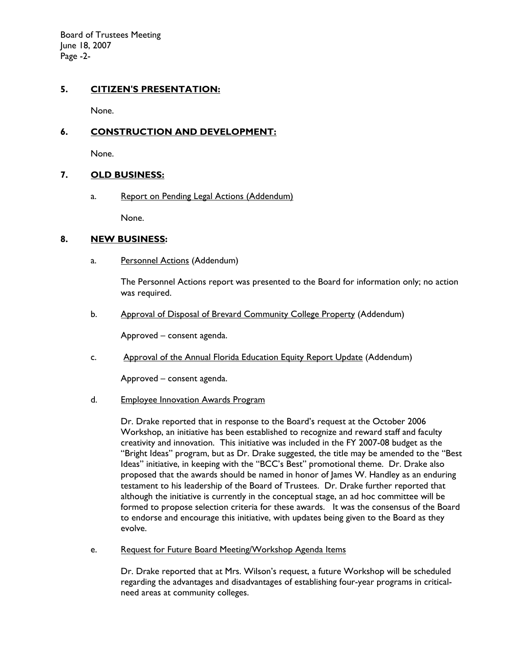Board of Trustees Meeting June 18, 2007 Page -2-

# **5. CITIZEN'S PRESENTATION:**

None.

## **6. CONSTRUCTION AND DEVELOPMENT:**

None.

### **7. OLD BUSINESS:**

a. Report on Pending Legal Actions (Addendum)

None.

### **8. NEW BUSINESS:**

a. Personnel Actions (Addendum)

The Personnel Actions report was presented to the Board for information only; no action was required.

b. Approval of Disposal of Brevard Community College Property (Addendum)

Approved – consent agenda.

c. Approval of the Annual Florida Education Equity Report Update (Addendum)

Approved – consent agenda.

d. Employee Innovation Awards Program

Dr. Drake reported that in response to the Board's request at the October 2006 Workshop, an initiative has been established to recognize and reward staff and faculty creativity and innovation. This initiative was included in the FY 2007-08 budget as the "Bright Ideas" program, but as Dr. Drake suggested, the title may be amended to the "Best Ideas" initiative, in keeping with the "BCC's Best" promotional theme. Dr. Drake also proposed that the awards should be named in honor of James W. Handley as an enduring testament to his leadership of the Board of Trustees. Dr. Drake further reported that although the initiative is currently in the conceptual stage, an ad hoc committee will be formed to propose selection criteria for these awards. It was the consensus of the Board to endorse and encourage this initiative, with updates being given to the Board as they evolve.

e. Request for Future Board Meeting/Workshop Agenda Items

Dr. Drake reported that at Mrs. Wilson's request, a future Workshop will be scheduled regarding the advantages and disadvantages of establishing four-year programs in criticalneed areas at community colleges.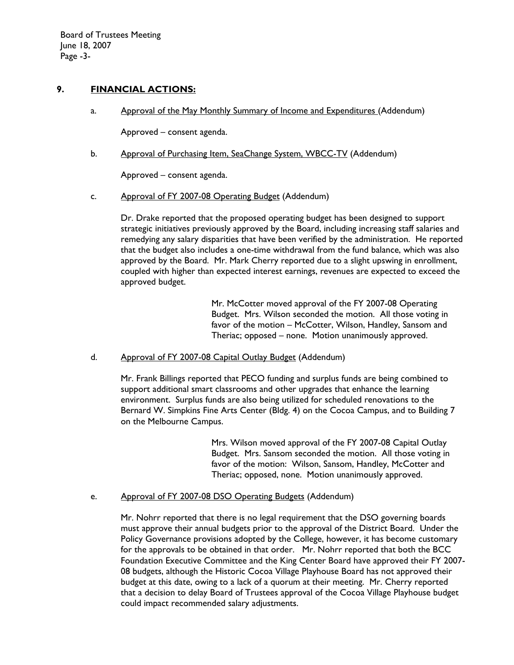## **9. FINANCIAL ACTIONS:**

a. Approval of the May Monthly Summary of Income and Expenditures (Addendum)

Approved – consent agenda.

b. Approval of Purchasing Item, SeaChange System, WBCC-TV (Addendum)

Approved – consent agenda.

c. Approval of FY 2007-08 Operating Budget (Addendum)

 Dr. Drake reported that the proposed operating budget has been designed to support strategic initiatives previously approved by the Board, including increasing staff salaries and remedying any salary disparities that have been verified by the administration. He reported that the budget also includes a one-time withdrawal from the fund balance, which was also approved by the Board. Mr. Mark Cherry reported due to a slight upswing in enrollment, coupled with higher than expected interest earnings, revenues are expected to exceed the approved budget.

> Mr. McCotter moved approval of the FY 2007-08 Operating Budget. Mrs. Wilson seconded the motion. All those voting in favor of the motion – McCotter, Wilson, Handley, Sansom and Theriac; opposed – none. Motion unanimously approved.

d. Approval of FY 2007-08 Capital Outlay Budget (Addendum)

 Mr. Frank Billings reported that PECO funding and surplus funds are being combined to support additional smart classrooms and other upgrades that enhance the learning environment. Surplus funds are also being utilized for scheduled renovations to the Bernard W. Simpkins Fine Arts Center (Bldg. 4) on the Cocoa Campus, and to Building 7 on the Melbourne Campus.

> Mrs. Wilson moved approval of the FY 2007-08 Capital Outlay Budget. Mrs. Sansom seconded the motion. All those voting in favor of the motion: Wilson, Sansom, Handley, McCotter and Theriac; opposed, none. Motion unanimously approved.

e. Approval of FY 2007-08 DSO Operating Budgets (Addendum)

Mr. Nohrr reported that there is no legal requirement that the DSO governing boards must approve their annual budgets prior to the approval of the District Board. Under the Policy Governance provisions adopted by the College, however, it has become customary for the approvals to be obtained in that order. Mr. Nohrr reported that both the BCC Foundation Executive Committee and the King Center Board have approved their FY 2007- 08 budgets, although the Historic Cocoa Village Playhouse Board has not approved their budget at this date, owing to a lack of a quorum at their meeting. Mr. Cherry reported that a decision to delay Board of Trustees approval of the Cocoa Village Playhouse budget could impact recommended salary adjustments.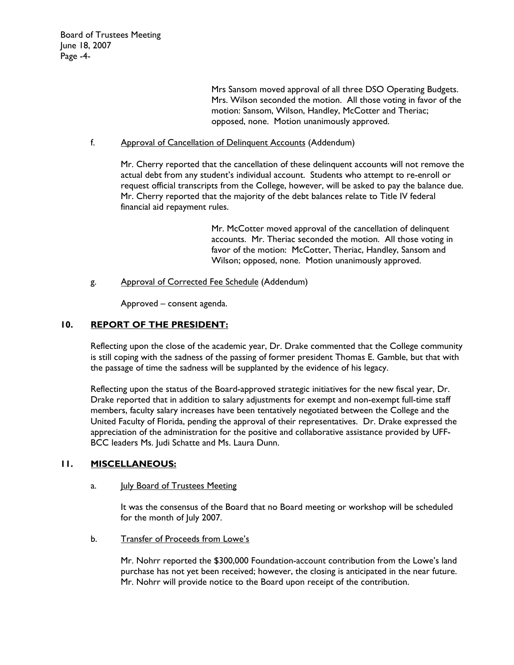Mrs Sansom moved approval of all three DSO Operating Budgets. Mrs. Wilson seconded the motion. All those voting in favor of the motion: Sansom, Wilson, Handley, McCotter and Theriac; opposed, none. Motion unanimously approved.

### f. Approval of Cancellation of Delinquent Accounts (Addendum)

Mr. Cherry reported that the cancellation of these delinquent accounts will not remove the actual debt from any student's individual account. Students who attempt to re-enroll or request official transcripts from the College, however, will be asked to pay the balance due. Mr. Cherry reported that the majority of the debt balances relate to Title IV federal financial aid repayment rules.

> Mr. McCotter moved approval of the cancellation of delinquent accounts. Mr. Theriac seconded the motion. All those voting in favor of the motion: McCotter, Theriac, Handley, Sansom and Wilson; opposed, none. Motion unanimously approved.

g. Approval of Corrected Fee Schedule (Addendum)

Approved – consent agenda.

# **10. REPORT OF THE PRESIDENT:**

Reflecting upon the close of the academic year, Dr. Drake commented that the College community is still coping with the sadness of the passing of former president Thomas E. Gamble, but that with the passage of time the sadness will be supplanted by the evidence of his legacy.

Reflecting upon the status of the Board-approved strategic initiatives for the new fiscal year, Dr. Drake reported that in addition to salary adjustments for exempt and non-exempt full-time staff members, faculty salary increases have been tentatively negotiated between the College and the United Faculty of Florida, pending the approval of their representatives. Dr. Drake expressed the appreciation of the administration for the positive and collaborative assistance provided by UFF-BCC leaders Ms. Judi Schatte and Ms. Laura Dunn.

### **11. MISCELLANEOUS:**

#### a. **July Board of Trustees Meeting**

It was the consensus of the Board that no Board meeting or workshop will be scheduled for the month of July 2007.

b. Transfer of Proceeds from Lowe's

Mr. Nohrr reported the \$300,000 Foundation-account contribution from the Lowe's land purchase has not yet been received; however, the closing is anticipated in the near future. Mr. Nohrr will provide notice to the Board upon receipt of the contribution.